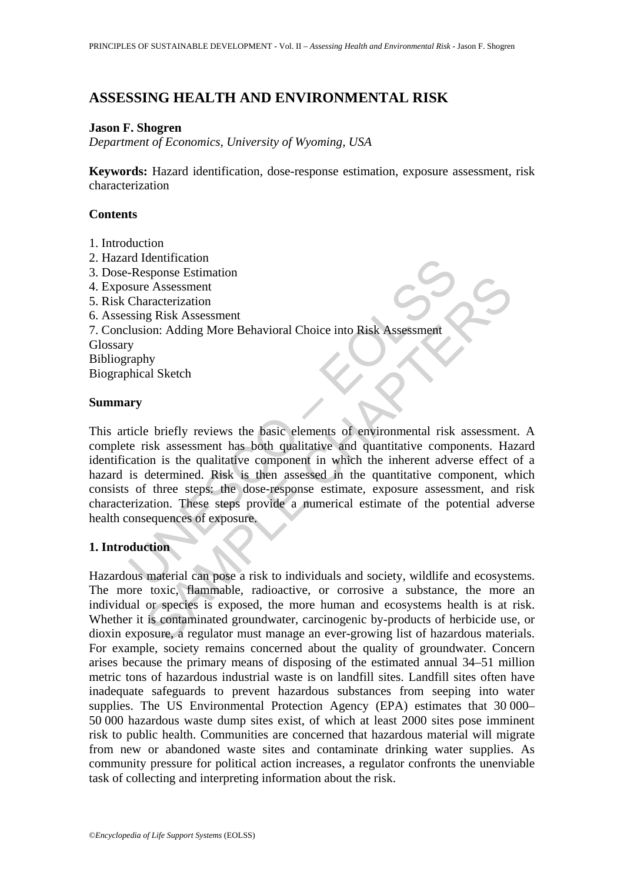## **ASSESSING HEALTH AND ENVIRONMENTAL RISK**

### **Jason F. Shogren**

*Department of Economics, University of Wyoming, USA* 

**Keywords:** Hazard identification, dose-response estimation, exposure assessment, risk characterization

## **Contents**

- 1. Introduction
- 2. Hazard Identification
- 3. Dose-Response Estimation
- 4. Exposure Assessment
- 5. Risk Characterization
- 6. Assessing Risk Assessment
- 7. Conclusion: Adding More Behavioral Choice into Risk Assessment

Glossary

Bibliography

Biographical Sketch

## **Summary**

response Estimation<br>
The Assessment<br>
Sure Assessment<br>
Sure Assessment<br>
Unsion: Adding More Behavioral Choice into Risk Assessment<br>
y<br>
y<br>
rraphy<br>
y<br>
ticle briefly reviews the basic elements of environmental risk<br>
te risk as Sponse Listantian<br>
e Assessment<br>
e Assessment<br>
caracterization<br>
caracterization<br>
caracterization<br>
by<br>
al Sketch<br>
by<br>
al Sketch<br>
by<br>
al Sketch<br>
by<br>
al Sketch<br>
caracterization<br>
caracterization<br>
caracterization<br>
caracterizati This article briefly reviews the basic elements of environmental risk assessment. A complete risk assessment has both qualitative and quantitative components. Hazard identification is the qualitative component in which the inherent adverse effect of a hazard is determined. Risk is then assessed in the quantitative component, which consists of three steps: the dose-response estimate, exposure assessment, and risk characterization. These steps provide a numerical estimate of the potential adverse health consequences of exposure.

# **1. Introduction**

Hazardous material can pose a risk to individuals and society, wildlife and ecosystems. The more toxic, flammable, radioactive, or corrosive a substance, the more an individual or species is exposed, the more human and ecosystems health is at risk. Whether it is contaminated groundwater, carcinogenic by-products of herbicide use, or dioxin exposure, a regulator must manage an ever-growing list of hazardous materials. For example, society remains concerned about the quality of groundwater. Concern arises because the primary means of disposing of the estimated annual 34–51 million metric tons of hazardous industrial waste is on landfill sites. Landfill sites often have inadequate safeguards to prevent hazardous substances from seeping into water supplies. The US Environmental Protection Agency (EPA) estimates that 30 000– 50 000 hazardous waste dump sites exist, of which at least 2000 sites pose imminent risk to public health. Communities are concerned that hazardous material will migrate from new or abandoned waste sites and contaminate drinking water supplies. As community pressure for political action increases, a regulator confronts the unenviable task of collecting and interpreting information about the risk.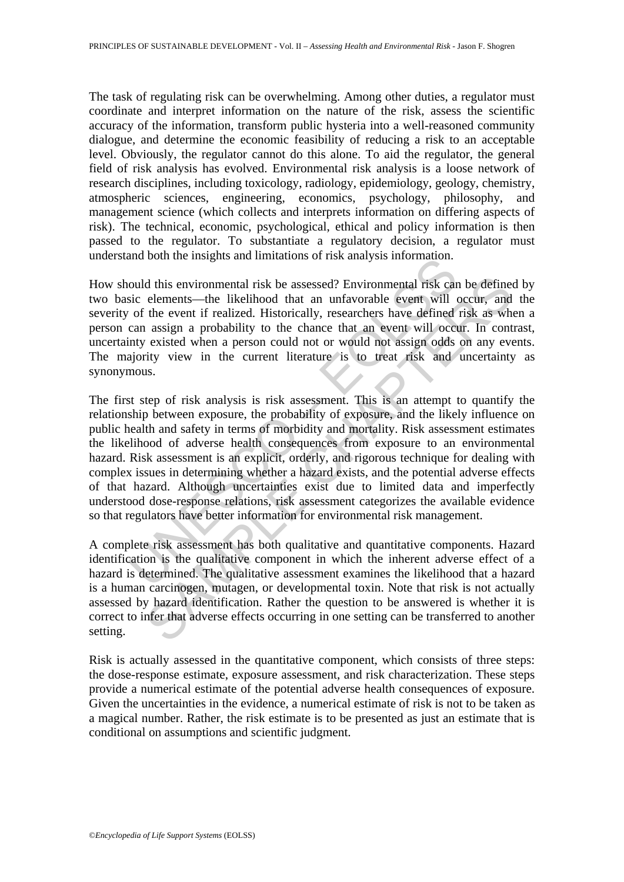The task of regulating risk can be overwhelming. Among other duties, a regulator must coordinate and interpret information on the nature of the risk, assess the scientific accuracy of the information, transform public hysteria into a well-reasoned community dialogue, and determine the economic feasibility of reducing a risk to an acceptable level. Obviously, the regulator cannot do this alone. To aid the regulator, the general field of risk analysis has evolved. Environmental risk analysis is a loose network of research disciplines, including toxicology, radiology, epidemiology, geology, chemistry, atmospheric sciences, engineering, economics, psychology, philosophy, and management science (which collects and interprets information on differing aspects of risk). The technical, economic, psychological, ethical and policy information is then passed to the regulator. To substantiate a regulatory decision, a regulator must understand both the insights and limitations of risk analysis information.

How should this environmental risk be assessed? Environmental risk can be defined by two basic elements—the likelihood that an unfavorable event will occur, and the severity of the event if realized. Historically, researchers have defined risk as when a person can assign a probability to the chance that an event will occur. In contrast, uncertainty existed when a person could not or would not assign odds on any events. The majority view in the current literature is to treat risk and uncertainty as synonymous.

and bout the misgins and infinations of itsk analysis information.<br>
solud this environmental risk be assessed? Environmental risk car<br>
sic elements—the likelihood that an unfavorable event will of<br>
of the event if realized d this environmental risk be assessed? Environmental risk can be define<br>elements—the likelihood that an unfavorable event will occur, and<br>the event if realized. Historically, researchers have defined risk as who<br>assign a p The first step of risk analysis is risk assessment. This is an attempt to quantify the relationship between exposure, the probability of exposure, and the likely influence on public health and safety in terms of morbidity and mortality. Risk assessment estimates the likelihood of adverse health consequences from exposure to an environmental hazard. Risk assessment is an explicit, orderly, and rigorous technique for dealing with complex issues in determining whether a hazard exists, and the potential adverse effects of that hazard. Although uncertainties exist due to limited data and imperfectly understood dose-response relations, risk assessment categorizes the available evidence so that regulators have better information for environmental risk management.

A complete risk assessment has both qualitative and quantitative components. Hazard identification is the qualitative component in which the inherent adverse effect of a hazard is determined. The qualitative assessment examines the likelihood that a hazard is a human carcinogen, mutagen, or developmental toxin. Note that risk is not actually assessed by hazard identification. Rather the question to be answered is whether it is correct to infer that adverse effects occurring in one setting can be transferred to another setting.

Risk is actually assessed in the quantitative component, which consists of three steps: the dose-response estimate, exposure assessment, and risk characterization. These steps provide a numerical estimate of the potential adverse health consequences of exposure. Given the uncertainties in the evidence, a numerical estimate of risk is not to be taken as a magical number. Rather, the risk estimate is to be presented as just an estimate that is conditional on assumptions and scientific judgment.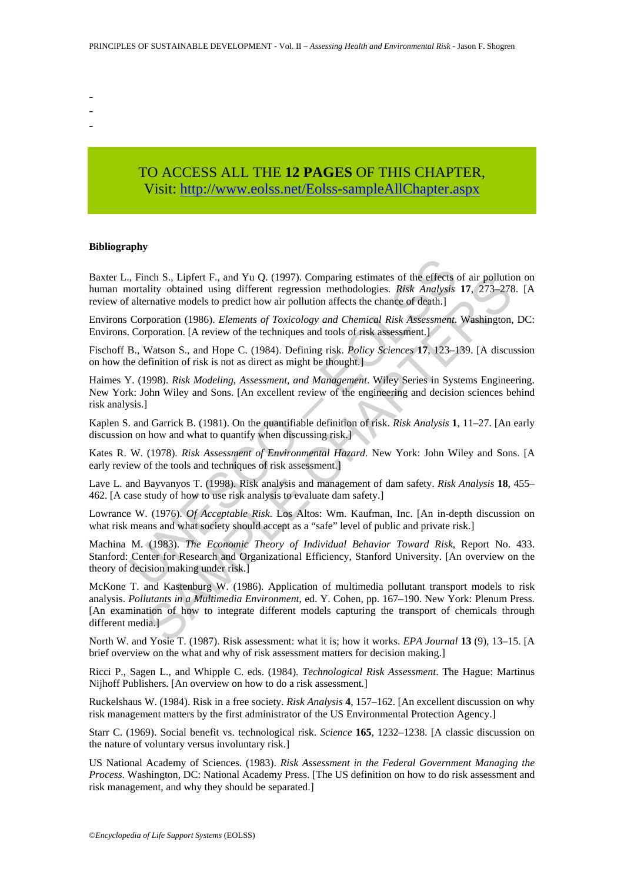- -
- -
- -

# TO ACCESS ALL THE **12 PAGES** OF THIS CHAPTER, Visit: [http://www.eolss.net/Eolss-sampleAllChapter.aspx](https://www.eolss.net/ebooklib/sc_cart.aspx?File=E1-46A-04-01)

#### **Bibliography**

, Finch S., Lipfert F., and Yu Q. (1997). Comparing estimates of the effects contaility obtained using different regression methodologies. *Risk Analysts* alternative models to predict how air pollution affects the chance Baxter L., Finch S., Lipfert F., and Yu Q. (1997). Comparing estimates of the effects of air pollution on human mortality obtained using different regression methodologies. *Risk Analysis* **17**, 273–278. [A review of alternative models to predict how air pollution affects the chance of death.]

Environs Corporation (1986). *Elements of Toxicology and Chemical Risk Assessment*. Washington, DC: Environs. Corporation. [A review of the techniques and tools of risk assessment.]

Fischoff B., Watson S., and Hope C. (1984). Defining risk. *Policy Sciences* **17**, 123–139. [A discussion on how the definition of risk is not as direct as might be thought.]

Haimes Y. (1998). *Risk Modeling, Assessment, and Management*. Wiley Series in Systems Engineering. New York: John Wiley and Sons. [An excellent review of the engineering and decision sciences behind risk analysis.]

Kaplen S. and Garrick B. (1981). On the quantifiable definition of risk. *Risk Analysis* **1**, 11–27. [An early discussion on how and what to quantify when discussing risk.]

Kates R. W. (1978). *Risk Assessment of Environmental Hazard*. New York: John Wiley and Sons. [A early review of the tools and techniques of risk assessment.]

Lave L. and Bayvanyos T. (1998). Risk analysis and management of dam safety. *Risk Analysis* **18**, 455– 462. [A case study of how to use risk analysis to evaluate dam safety.]

Lowrance W. (1976). *Of Acceptable Risk*. Los Altos: Wm. Kaufman, Inc. [An in-depth discussion on what risk means and what society should accept as a "safe" level of public and private risk.]

Machina M. (1983). *The Economic Theory of Individual Behavior Toward Risk*, Report No. 433. Stanford: Center for Research and Organizational Efficiency, Stanford University. [An overview on the theory of decision making under risk.]

nch S.. Lipler F., and Yu Q. (1997). Comparing estimates of the effects of air pollution<br>sliity obtained using different regression methodologies. *Risk Analysis* 17, 273–278<br>matrix-mative models to predict how air pollut McKone T. and Kastenburg W. (1986). Application of multimedia pollutant transport models to risk analysis. *Pollutants in a Multimedia Environment*, ed. Y. Cohen, pp. 167–190. New York: Plenum Press. [An examination of how to integrate different models capturing the transport of chemicals through different media.]

North W. and Yosie T. (1987). Risk assessment: what it is; how it works. *EPA Journal* **13** (9), 13–15. [A brief overview on the what and why of risk assessment matters for decision making.]

Ricci P., Sagen L., and Whipple C. eds. (1984). *Technological Risk Assessment*. The Hague: Martinus Nijhoff Publishers. [An overview on how to do a risk assessment.]

Ruckelshaus W. (1984). Risk in a free society. *Risk Analysis* **4**, 157–162. [An excellent discussion on why risk management matters by the first administrator of the US Environmental Protection Agency.]

Starr C. (1969). Social benefit vs. technological risk. *Science* **165**, 1232–1238. [A classic discussion on the nature of voluntary versus involuntary risk.]

US National Academy of Sciences. (1983). *Risk Assessment in the Federal Government Managing the Process*. Washington, DC: National Academy Press. [The US definition on how to do risk assessment and risk management, and why they should be separated.]